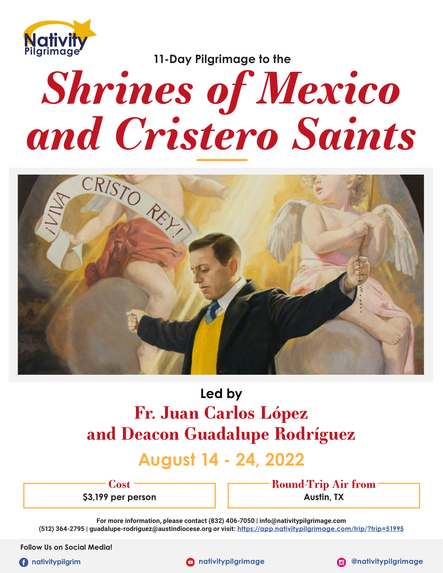

**11-Day Pilgrimage to the**

# *Shrines of Mexico*



# **Led by Fr. Juan Carlos López and Deacon Guadalupe Rodríguez**

# **August 14 - 24, 2022**

**Cost \$3,199 per person** **Round-Trip Air from Austin, TX**

**For more information, please contact (832) 406-7050 | info@nativitypilgrimage.com (512) 364-2795 | guadalupe-rodriguez@austindiocese.org or visit: https://app.nativitypilgrimage.com/trip/?trip=51995**

**Follow Us on Social Media!**

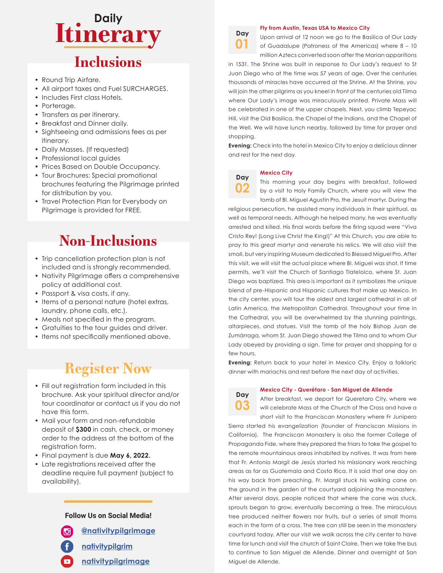# **Itinerary Daily**

## **Inclusions**

- Round Trip Airfare.
- All airport taxes and Fuel SURCHARGES.
- Includes First class Hotels.
- Porterage.
- Transfers as per itinerary.
- Breakfast and Dinner daily.
- Sightseeing and admissions fees as per itinerary.
- Daily Masses. (If requested)
- Professional local guides
- Prices Based on Double Occupancy.
- Tour Brochures: Special promotional brochures featuring the Pilgrimage printed for distribution by you.
- Travel Protection Plan for Everybody on Pilgrimage is provided for FREE.

# **Non-Inclusions**

- Trip cancellation protection plan is not included and is strongly recommended.
- Nativity Pilgrimage offers a comprehensive policy at additional cost.
- Passport & visa costs, if any.
- Items of a personal nature (hotel extras, laundry, phone calls, etc.).
- Meals not specified in the program.
- Gratuities to the tour guides and driver.
- Items not specifically mentioned above.

## **Register Now**

- Fill out registration form included in this brochure. Ask your spiritual director and/or tour coordinator or contact us if you do not have this form.
- Mail your form and non-refundable deposit of **\$300** in cash, check, or money order to the address at the bottom of the registration form.
- Final payment is due **May 6, 2022.**
- Late registrations received after the deadline require full payment (subject to availability).

#### **Follow Us on Social Media!**

**@nativitypilgrimage**



- **nativitypilgrim**
- **nativitypilgrimage**



**Day 02**

#### **Fly from Austin, Texas USA to Mexico City**

Upon arrival at 12 noon we go to the Basilica of Our Lady of Guadalupe (Patroness of the Americas) where 8 – 10 million Aztecs converted soon after the Marian apparitions

in 1531. The Shrine was built in response to Our Lady's request to St Juan Diego who at the time was 57 years of age. Over the centuries thousands of miracles have occurred at the Shrine. At the Shrine, you will join the other pilgrims as you kneel in front of the centuries old Tilma where Our Lady's image was miraculously printed. Private Mass will be celebrated in one of the upper chapels. Next, you climb Tepeyac Hill, visit the Old Basilica, the Chapel of the Indians, and the Chapel of the Well. We will have lunch nearby, followed by time for prayer and shopping.

**Evening:** Check into the hotel in Mexico City to enjoy a delicious dinner and rest for the next day.

#### **Mexico City**

This morning your day begins with breakfast, followed by a visit to Holy Family Church, where you will view the tomb of Bl. Miguel Agustin Pro, the Jesuit martyr. During the

religious persecution, he assisted many individuals in their spiritual, as well as temporal needs. Although he helped many, he was eventually arrested and killed. His final words before the firing squad were "Viva Cristo Rey! (Long Live Christ the King!)" At this Church, you are able to pray to this great martyr and venerate his relics. We will also visit the small, but very inspiring Museum dedicated to Blessed Miguel Pro. After this visit, we will visit the actual place where Bl. Miguel was shot. If time permits, we'll visit the Church of Santiago Tlatelolco, where St. Juan Diego was baptized. This area is important as it symbolizes the unique blend of pre-Hispanic and Hispanic cultures that make up Mexico. In the city center, you will tour the oldest and largest cathedral in all of Latin America, the Metropolitan Cathedral. Throughout your time in the Cathedral, you will be overwhelmed by the stunning paintings, altarpieces, and statues. Visit the tomb of the holy Bishop Juan de Zumárraga, whom St. Juan Diego showed the Tilma and to whom Our Lady obeyed by providing a sign. Time for prayer and shopping for a few hours.

**Evening:** Return back to your hotel in Mexico City. Enjoy a folkloric dinner with mariachis and rest before the next day of activities.

#### **Mexico City - Querétaro - San Miguel de Allende**

**Day 03**

After breakfast, we depart for Queretaro City, where we will celebrate Mass at the Church of the Cross and have a short visit to the Franciscan Monastery where Fr Junipero

Sierra started his evangelization (founder of Franciscan Missions in California). The Franciscan Monastery is also the former College of Propaganda Fide, where they prepared the friars to take the gospel to the remote mountainous areas inhabited by natives. It was from here that Fr. Antonio Margil de Jesús started his missionary work reaching areas as far as Guatemala and Costa Rica. It is said that one day on his way back from preaching, Fr. Margil stuck his walking cane on the ground in the garden of the courtyard adjoining the monastery. After several days, people noticed that where the cane was stuck, sprouts began to grow, eventually becoming a tree. The miraculous tree produced neither flowers nor fruits, but a series of small thorns each in the form of a cross. The tree can still be seen in the monastery courtyard today. After our visit we walk across the city center to have time for lunch and visit the church of Saint Claire. Then we take the bus to continue to San Miguel de Allende. Dinner and overnight at San Miguel de Allende.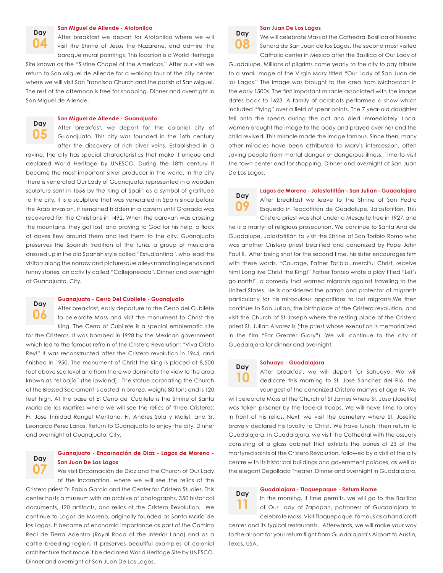**Day 04**

#### **San Miguel de Allende - Atotonilco**

After breakfast we depart for Atotonilco where we will visit the Shrine of Jesus the Nazarene, and admire the baroque mural paintings. This location is a World Heritage

Site known as the "Sistine Chapel of the Americas." After our visit we return to San Miguel de Allende for a walking tour of the city center where we will visit San Francisco Church and the parish of San Miguel. The rest of the afternoon is free for shopping. Dinner and overnight in San Miguel de Allende.

#### **San Miguel de Allende - Guanajuato**

After breakfast, we depart for the colonial city of Guanajuato. This city was founded in the 16th century after the discovery of rich silver veins. Established in a **Day 05**

ravine, the city has special characteristics that make it unique and declared World Heritage by UNESCO. During the 18th century it became the most important silver producer in the world. In the city there is venerated Our Lady of Guanajuato, represented in a wooden sculpture sent in 1556 by the King of Spain as a symbol of gratitude to the city. It is a sculpture that was venerated in Spain since before the Arab invasion, it remained hidden in a cavern until Granada was recovered for the Christians in 1492. When the caravan was crossing the mountains, they got lost, and praying to God for his help, a flock of doves flew around them and led them to the city. Guanajuato preserves the Spanish tradition of the Tuna, a group of musicians dressed up in the old Spanish style called "Estudiantina", who lead the visitors along the narrow and picturesque alleys narrating legends and funny stories, an activity called "Callejoneada". Dinner and overnight at Guanajuato, City.



#### **Guanajuato - Cerro Del Cubilete - Guanajuato**

After breakfast, early departure to the Cerro del Cubilete to celebrate Mass and visit the monument to Christ the King. The Cerro of Cubilete is a special emblematic site

for the Cristeros. It was bombed in 1928 by the Mexican government which led to the famous refrain of the Cristero Revolution: "Viva Cristo Rey!" It was reconstructed after the Cristero revolution in 1944, and finished in 1950. The monument of Christ the King is placed at 8,500 feet above sea level and from there we dominate the view to the area known as "el bajío" (the lowland). The statue coronating the Church of the Blessed Sacrament is casted in bronze, weighs 80 tons and is 120 feet high. At the base of El Cerro del Cubilete is the Shrine of Santa Maria de los Martires where we will see the relics of three Cristeros: Fr. Jose Trinidad Rangel Montano, Fr. Andres Sola y Molist, and Sr. Leonardo Perez Larios. Return to Guanajuato to enjoy the city. Dinner and overnight at Guanajuato, City.

#### **Guanajuato - Encarnación de Diaz - Lagos de Moreno - San Juan De Los Lagos Day 07**

We visit Encarnación de Diaz and the Church of Our Lady of the Incarnation, where we will see the relics of the

Cristero priest Fr. Pablo Garcia and the Center for Cristero Studies. This center hosts a museum with an archive of photographs, 350 historical documents, 120 artifacts, and relics of the Cristero Revolution. We continue to Lagos de Moreno, originally founded as Santa María de los Lagos. It became of economic importance as part of the Camino Real de Tierra Adentro (Royal Road of the Interior Land) and as a cattle breeding region. It preserves beautiful examples of colonial architecture that made it be declared World Heritage Site by UNESCO. Dinner and overnight at San Juan De Los Lagos.



#### **San Juan De Los Lagos**

We will celebrate Mass at the Cathedral Basilica of Nuestra Senora de San Juan de los Lagos, the second most visited Catholic center in Mexico after the Basilica of Our Lady of

Guadalupe. Millions of pilgrims come yearly to the city to pay tribute to a small image of the Virgin Mary titled "Our Lady of San Juan de los Lagos." The image was brought to the area from Michoacan in the early 1500s. The first important miracle associated with the image dates back to 1623. A family of acrobats performed a show which included "flying" over a field of spear points. The 7 year-old daughter fell onto the spears during the act and died immediately. Local women brought the image to the body and prayed over her and the child revived! This miracle made the image famous. Since then, many other miracles have been attributed to Mary's intercession, often saving people from mortal danger or dangerous illness. Time to visit the town center and for shopping. Dinner and overnight at San Juan De Los Lagos.

**Day 09** **Lagos de Moreno - Jalostotitlán – San Julian - Guadalajara** After breakfast we leave to the Shrine of San Pedro

Esqueda in Teocaltitán de Guadalupe, Jalostotitlán. This Cristero priest was shot under a Mesquite tree in 1927, and

he is a martyr of religious prosecution. We continue to Santa Ana de Guadalupe, Jalostotitlán to visit the Shrine of San Toribio Romo who was another Cristero priest beatified and canonized by Pope John Paul II. After being shot for the second time, his sister encourages him with these words, "Courage, Father Toribio...merciful Christ, receive him! Long live Christ the King!" Father Toribio wrote a play titled "Let's go north!", a comedy that warned migrants against traveling to the United States. He is considered the patron and protector of migrants particularly for his miraculous apparitions to lost migrants.We then continue to San Julian, the birthplace of the Cristero revolution, and visit the Church of St Joseph where the resting place of the Cristero priest St. Julian Alvarez is (the priest whose execution is memorialized in the film "For Greater Glory"). We will continue to the city of Guadalajara for dinner and overnight.

#### **Sahuayo - Guadalajara**

After breakfast, we will depart for Sahuayo. We will dedicate this morning to St. Jose Sanchez del Rio, the youngest of the canonized Cristero martyrs at age 14. We

will celebrate Mass at the Church of St James where St. Jose (Joselito) was taken prisoner by the federal troops. We will have time to pray in front of his relics. Next, we visit the cemetery where St. Joselito bravely declared his loyalty to Christ. We have lunch, then return to Guadalajara. In Guadalajara, we visit the Cathedral with the ossuary consisting of a glass cabinet that exhibits the bones of 23 of the martyred saints of the Cristero Revolution, followed by a visit of the city centre with its historical buildings and government palaces, as well as the elegant Degollado Theater. Dinner and overnight in Guadalajara.

### **Day 11**

**Day 10**

#### **Guadalajara - Tlaquepaque - Return Home**

In the morning, if time permits, we will go to the Basilica of Our Lady of Zapopan, patroness of Guadalajara to celebrate Mass. Visit Tlaquepaque, famous as a handicraft

center and its typical restaurants. Afterwards, we will make your way to the airport for your return flight from Guadalajara's Airport to Austin, Texas, USA.